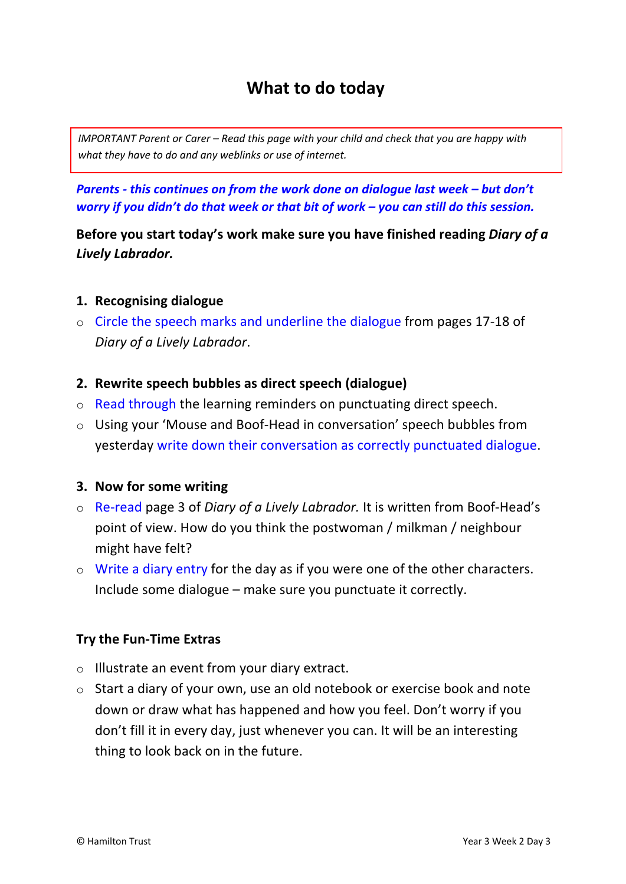# **What to do today**

*IMPORTANT Parent or Carer – Read this page with your child and check that you are happy with what they have to do and any weblinks or use of internet.* 

*Parents - this continues on from the work done on dialogue last week – but don't worry if you didn't do that week or that bit of work – you can still do this session.*

**Before you start today's work make sure you have finished reading** *Diary of a Lively Labrador.* 

### **1. Recognising dialogue**

o Circle the speech marks and underline the dialogue from pages 17-18 of *Diary of a Lively Labrador*.

#### **2. Rewrite speech bubbles as direct speech (dialogue)**

- o Read through the learning reminders on punctuating direct speech.
- o Using your 'Mouse and Boof-Head in conversation' speech bubbles from yesterday write down their conversation as correctly punctuated dialogue.

### **3. Now for some writing**

- o Re-read page 3 of *Diary of a Lively Labrador.* It is written from Boof-Head's point of view. How do you think the postwoman / milkman / neighbour might have felt?
- o Write a diary entry for the day as if you were one of the other characters. Include some dialogue – make sure you punctuate it correctly.

### **Try the Fun-Time Extras**

- o Illustrate an event from your diary extract.
- o Start a diary of your own, use an old notebook or exercise book and note down or draw what has happened and how you feel. Don't worry if you don't fill it in every day, just whenever you can. It will be an interesting thing to look back on in the future.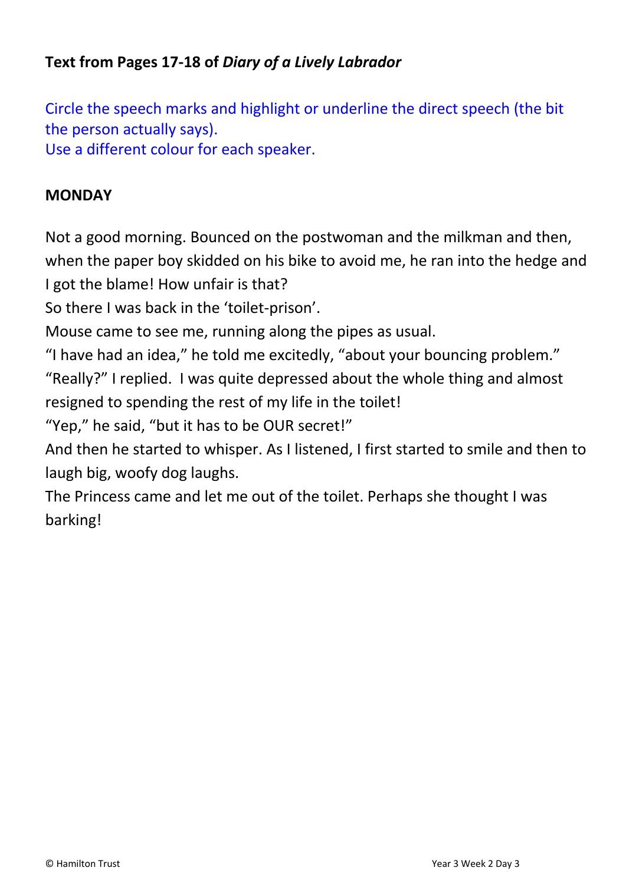## **Text from Pages 17-18 of** *Diary of a Lively Labrador*

Circle the speech marks and highlight or underline the direct speech (the bit the person actually says). Use a different colour for each speaker.

### **MONDAY**

Not a good morning. Bounced on the postwoman and the milkman and then, when the paper boy skidded on his bike to avoid me, he ran into the hedge and I got the blame! How unfair is that?

So there I was back in the 'toilet-prison'.

Mouse came to see me, running along the pipes as usual.

"I have had an idea," he told me excitedly, "about your bouncing problem." "Really?" I replied. I was quite depressed about the whole thing and almost resigned to spending the rest of my life in the toilet!

"Yep," he said, "but it has to be OUR secret!"

And then he started to whisper. As I listened, I first started to smile and then to laugh big, woofy dog laughs.

The Princess came and let me out of the toilet. Perhaps she thought I was barking!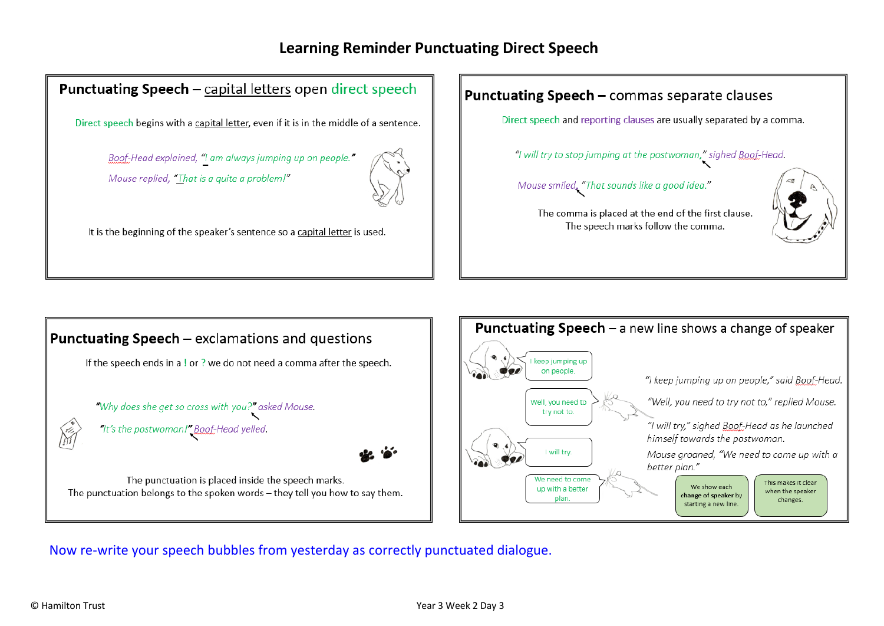### **Learning Reminder Punctuating Direct Speech**

### **Punctuating Speech** - capital letters open direct speech

Direct speech begins with a capital letter, even if it is in the middle of a sentence.

Boof-Head explained, "I am always jumping up on people." Mouse replied, "That is a quite a problem!"



It is the beginning of the speaker's sentence so a capital letter is used.

### **Punctuating Speech - commas separate clauses**

Direct speech and reporting clauses are usually separated by a comma.

"I will try to stop jumping at the postwoman," sighed Boof-Head.

Mouse smiled, "That sounds like a good idea."



The comma is placed at the end of the first clause. The speech marks follow the comma.





Now re-write your speech bubbles from yesterday as correctly punctuated dialogue.